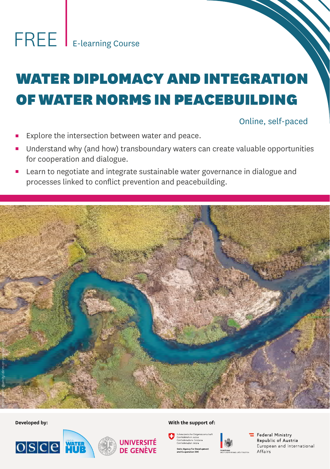# WATER DIPLOMACY AND INTEGRATION OF WATER NORMS IN PEACEBUILDING

# Online, self-paced

- Explore the intersection between water and peace.
- Understand why (and how) transboundary waters can create valuable opportunities for cooperation and dialogue.
- Learn to negotiate and integrate sustainable water governance in dialogue and processes linked to conflict prevention and peacebuilding.







#### Developed by: With the support of:





.<br>Federal Ministry Republic of Austria European and International  $Affaire$